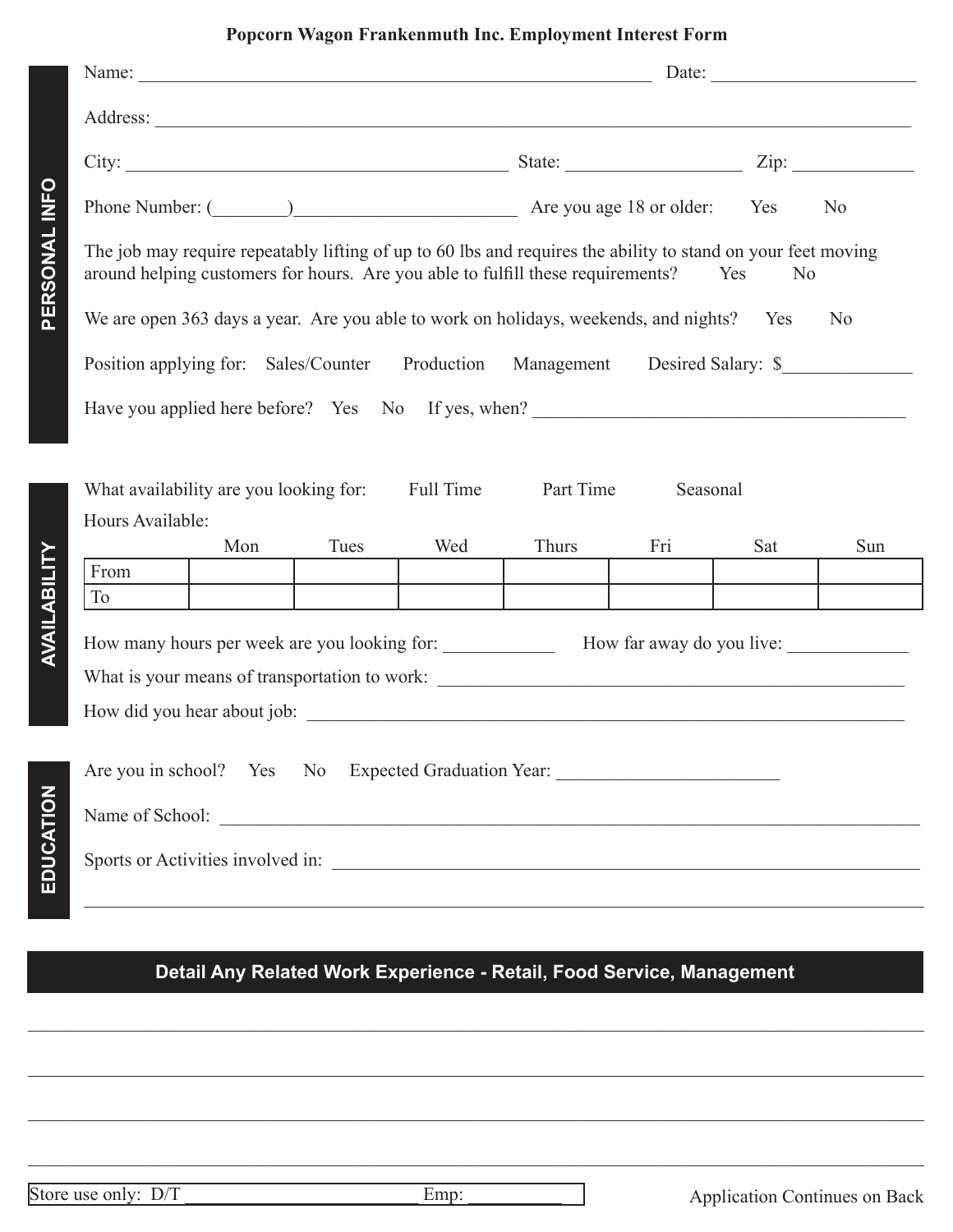## **Popcorn Wagon Frankenmuth Inc. Employment Interest Form**

|               | Date:                                                                                                                                                                                                                    |      |     |       |     |     |     |  |  |  |
|---------------|--------------------------------------------------------------------------------------------------------------------------------------------------------------------------------------------------------------------------|------|-----|-------|-----|-----|-----|--|--|--|
|               |                                                                                                                                                                                                                          |      |     |       |     |     |     |  |  |  |
| PERSONAL INFO |                                                                                                                                                                                                                          |      |     |       |     |     |     |  |  |  |
|               | Phone Number: (2002) 2022 Are you age 18 or older: Yes No                                                                                                                                                                |      |     |       |     |     |     |  |  |  |
|               | The job may require repeatably lifting of up to 60 lbs and requires the ability to stand on your feet moving<br>around helping customers for hours. Are you able to fulfill these requirements?<br>Yes<br>N <sub>0</sub> |      |     |       |     |     |     |  |  |  |
|               | We are open 363 days a year. Are you able to work on holidays, weekends, and nights? Yes<br>N <sub>0</sub>                                                                                                               |      |     |       |     |     |     |  |  |  |
|               | Position applying for: Sales/Counter Production<br>Management Desired Salary: \$                                                                                                                                         |      |     |       |     |     |     |  |  |  |
|               | Have you applied here before? Yes No If yes, when?                                                                                                                                                                       |      |     |       |     |     |     |  |  |  |
|               |                                                                                                                                                                                                                          |      |     |       |     |     |     |  |  |  |
|               | <b>Full Time</b><br>Part Time<br>What availability are you looking for:<br>Seasonal                                                                                                                                      |      |     |       |     |     |     |  |  |  |
|               | Hours Available:<br>Mon                                                                                                                                                                                                  | Tues | Wed | Thurs | Fri | Sat | Sun |  |  |  |
|               | From                                                                                                                                                                                                                     |      |     |       |     |     |     |  |  |  |
|               | To                                                                                                                                                                                                                       |      |     |       |     |     |     |  |  |  |
| AVAILABILITY  |                                                                                                                                                                                                                          |      |     |       |     |     |     |  |  |  |
|               | What is your means of transportation to work: ___________________________________                                                                                                                                        |      |     |       |     |     |     |  |  |  |
|               |                                                                                                                                                                                                                          |      |     |       |     |     |     |  |  |  |
| EDUCATION     | Are you in school? Yes No Expected Graduation Year: _____________________________                                                                                                                                        |      |     |       |     |     |     |  |  |  |
|               | Name of School:                                                                                                                                                                                                          |      |     |       |     |     |     |  |  |  |
|               | Sports or Activities involved in:                                                                                                                                                                                        |      |     |       |     |     |     |  |  |  |
|               |                                                                                                                                                                                                                          |      |     |       |     |     |     |  |  |  |

**Detail Any Related Work Experience - Retail, Food Service, Management**

 $\_$  ,  $\_$  ,  $\_$  ,  $\_$  ,  $\_$  ,  $\_$  ,  $\_$  ,  $\_$  ,  $\_$  ,  $\_$  ,  $\_$  ,  $\_$  ,  $\_$  ,  $\_$  ,  $\_$  ,  $\_$  ,  $\_$  ,  $\_$  ,  $\_$  ,  $\_$  ,  $\_$  ,  $\_$  ,  $\_$  ,  $\_$  ,  $\_$  ,  $\_$  ,  $\_$  ,  $\_$  ,  $\_$  ,  $\_$  ,  $\_$  ,  $\_$  ,  $\_$  ,  $\_$  ,  $\_$  ,  $\_$  ,  $\_$  ,

 $\_$  ,  $\_$  ,  $\_$  ,  $\_$  ,  $\_$  ,  $\_$  ,  $\_$  ,  $\_$  ,  $\_$  ,  $\_$  ,  $\_$  ,  $\_$  ,  $\_$  ,  $\_$  ,  $\_$  ,  $\_$  ,  $\_$  ,  $\_$  ,  $\_$  ,  $\_$  ,  $\_$  ,  $\_$  ,  $\_$  ,  $\_$  ,  $\_$  ,  $\_$  ,  $\_$  ,  $\_$  ,  $\_$  ,  $\_$  ,  $\_$  ,  $\_$  ,  $\_$  ,  $\_$  ,  $\_$  ,  $\_$  ,  $\_$  ,

 $\_$  ,  $\_$  ,  $\_$  ,  $\_$  ,  $\_$  ,  $\_$  ,  $\_$  ,  $\_$  ,  $\_$  ,  $\_$  ,  $\_$  ,  $\_$  ,  $\_$  ,  $\_$  ,  $\_$  ,  $\_$  ,  $\_$  ,  $\_$  ,  $\_$  ,  $\_$  ,  $\_$  ,  $\_$  ,  $\_$  ,  $\_$  ,  $\_$  ,  $\_$  ,  $\_$  ,  $\_$  ,  $\_$  ,  $\_$  ,  $\_$  ,  $\_$  ,  $\_$  ,  $\_$  ,  $\_$  ,  $\_$  ,  $\_$  ,

 $\_$  ,  $\_$  ,  $\_$  ,  $\_$  ,  $\_$  ,  $\_$  ,  $\_$  ,  $\_$  ,  $\_$  ,  $\_$  ,  $\_$  ,  $\_$  ,  $\_$  ,  $\_$  ,  $\_$  ,  $\_$  ,  $\_$  ,  $\_$  ,  $\_$  ,  $\_$  ,  $\_$  ,  $\_$  ,  $\_$  ,  $\_$  ,  $\_$  ,  $\_$  ,  $\_$  ,  $\_$  ,  $\_$  ,  $\_$  ,  $\_$  ,  $\_$  ,  $\_$  ,  $\_$  ,  $\_$  ,  $\_$  ,  $\_$  ,

Store use only: D/T \_\_\_\_\_\_\_\_\_\_\_\_\_\_\_\_\_\_\_\_\_\_\_\_\_ Emp: \_\_\_\_\_\_\_\_\_\_ Application Continues on Back